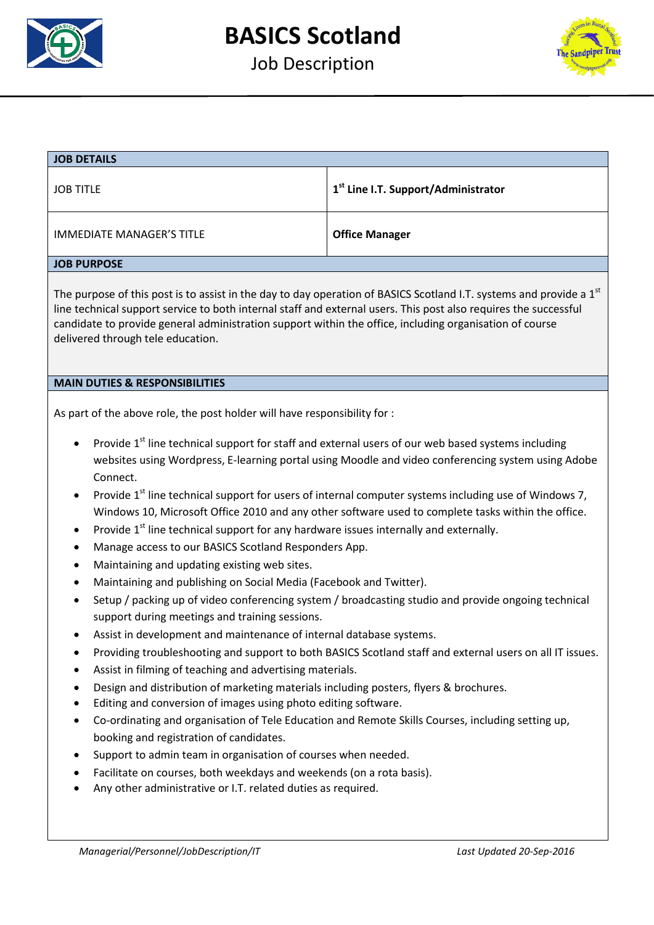

Job Description



| <b>JOB TITLE</b><br><b>IMMEDIATE MANAGER'S TITLE</b><br><b>JOB PURPOSE</b><br>The purpose of this post is to assist in the day to day operation of BASICS Scotland I.T. systems and provide a $1st$<br>line technical support service to both internal staff and external users. This post also requires the successful<br>candidate to provide general administration support within the office, including organisation of course<br>delivered through tele education.<br><b>MAIN DUTIES &amp; RESPONSIBILITIES</b><br>As part of the above role, the post holder will have responsibility for :                                                                                                                                                                                                                                                                                                                                                                                                                                                                                                                                                                                                                                                                                                                                                                                                                                                                                                                                                                                                                                                                                       | 1 <sup>st</sup> Line I.T. Support/Administrator<br><b>Office Manager</b> |
|-----------------------------------------------------------------------------------------------------------------------------------------------------------------------------------------------------------------------------------------------------------------------------------------------------------------------------------------------------------------------------------------------------------------------------------------------------------------------------------------------------------------------------------------------------------------------------------------------------------------------------------------------------------------------------------------------------------------------------------------------------------------------------------------------------------------------------------------------------------------------------------------------------------------------------------------------------------------------------------------------------------------------------------------------------------------------------------------------------------------------------------------------------------------------------------------------------------------------------------------------------------------------------------------------------------------------------------------------------------------------------------------------------------------------------------------------------------------------------------------------------------------------------------------------------------------------------------------------------------------------------------------------------------------------------------------|--------------------------------------------------------------------------|
|                                                                                                                                                                                                                                                                                                                                                                                                                                                                                                                                                                                                                                                                                                                                                                                                                                                                                                                                                                                                                                                                                                                                                                                                                                                                                                                                                                                                                                                                                                                                                                                                                                                                                         |                                                                          |
|                                                                                                                                                                                                                                                                                                                                                                                                                                                                                                                                                                                                                                                                                                                                                                                                                                                                                                                                                                                                                                                                                                                                                                                                                                                                                                                                                                                                                                                                                                                                                                                                                                                                                         |                                                                          |
|                                                                                                                                                                                                                                                                                                                                                                                                                                                                                                                                                                                                                                                                                                                                                                                                                                                                                                                                                                                                                                                                                                                                                                                                                                                                                                                                                                                                                                                                                                                                                                                                                                                                                         |                                                                          |
|                                                                                                                                                                                                                                                                                                                                                                                                                                                                                                                                                                                                                                                                                                                                                                                                                                                                                                                                                                                                                                                                                                                                                                                                                                                                                                                                                                                                                                                                                                                                                                                                                                                                                         |                                                                          |
|                                                                                                                                                                                                                                                                                                                                                                                                                                                                                                                                                                                                                                                                                                                                                                                                                                                                                                                                                                                                                                                                                                                                                                                                                                                                                                                                                                                                                                                                                                                                                                                                                                                                                         |                                                                          |
| Provide 1 <sup>st</sup> line technical support for staff and external users of our web based systems including<br>websites using Wordpress, E-learning portal using Moodle and video conferencing system using Adobe<br>Connect.<br>Provide 1 <sup>st</sup> line technical support for users of internal computer systems including use of Windows 7,<br>Windows 10, Microsoft Office 2010 and any other software used to complete tasks within the office.<br>Provide 1 <sup>st</sup> line technical support for any hardware issues internally and externally.<br>$\bullet$<br>Manage access to our BASICS Scotland Responders App.<br>Maintaining and updating existing web sites.<br>Maintaining and publishing on Social Media (Facebook and Twitter).<br>Setup / packing up of video conferencing system / broadcasting studio and provide ongoing technical<br>support during meetings and training sessions.<br>Assist in development and maintenance of internal database systems.<br>Providing troubleshooting and support to both BASICS Scotland staff and external users on all IT issues.<br>Assist in filming of teaching and advertising materials.<br>Design and distribution of marketing materials including posters, flyers & brochures.<br>Editing and conversion of images using photo editing software.<br>Co-ordinating and organisation of Tele Education and Remote Skills Courses, including setting up,<br>booking and registration of candidates.<br>Support to admin team in organisation of courses when needed.<br>Facilitate on courses, both weekdays and weekends (on a rota basis).<br>Any other administrative or I.T. related duties as required. |                                                                          |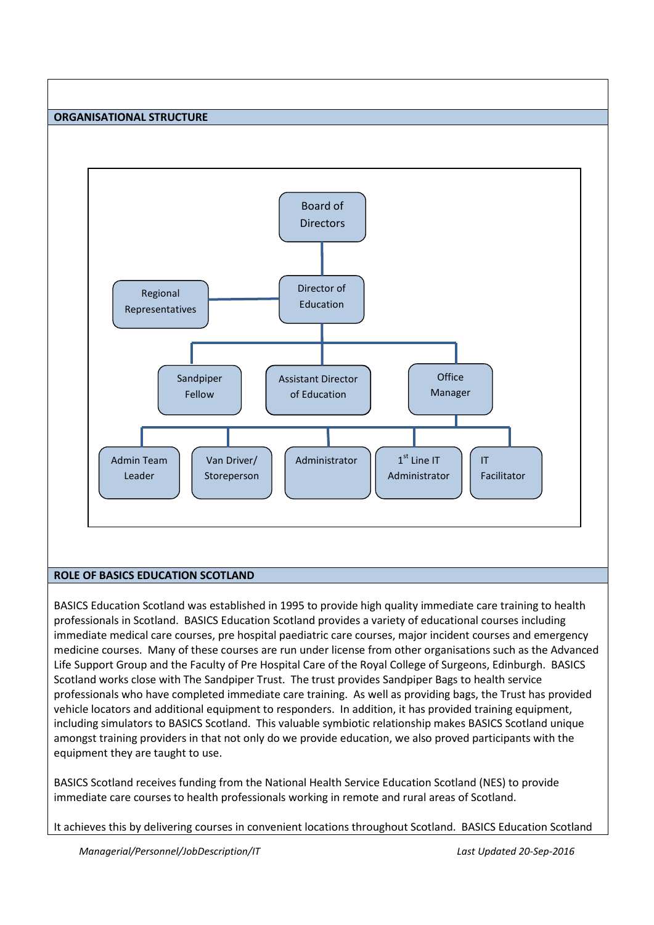



# **ROLE OF BASICS EDUCATION SCOTLAND**

BASICS Education Scotland was established in 1995 to provide high quality immediate care training to health professionals in Scotland. BASICS Education Scotland provides a variety of educational courses including immediate medical care courses, pre hospital paediatric care courses, major incident courses and emergency medicine courses. Many of these courses are run under license from other organisations such as the Advanced Life Support Group and the Faculty of Pre Hospital Care of the Royal College of Surgeons, Edinburgh. BASICS Scotland works close with The Sandpiper Trust. The trust provides Sandpiper Bags to health service professionals who have completed immediate care training. As well as providing bags, the Trust has provided vehicle locators and additional equipment to responders. In addition, it has provided training equipment, including simulators to BASICS Scotland. This valuable symbiotic relationship makes BASICS Scotland unique amongst training providers in that not only do we provide education, we also proved participants with the equipment they are taught to use.

BASICS Scotland receives funding from the National Health Service Education Scotland (NES) to provide immediate care courses to health professionals working in remote and rural areas of Scotland.

It achieves this by delivering courses in convenient locations throughout Scotland. BASICS Education Scotland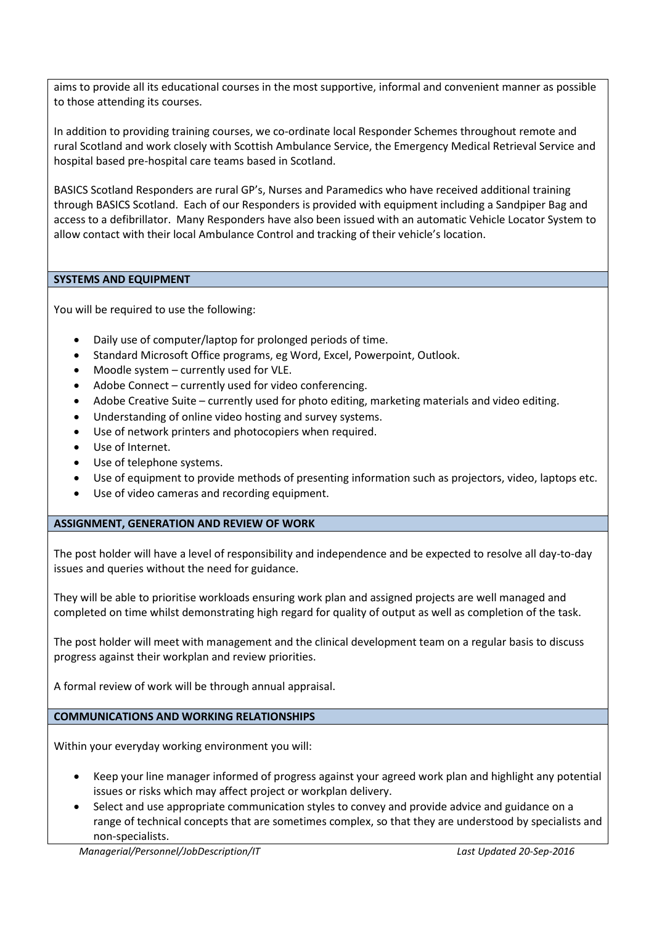aims to provide all its educational courses in the most supportive, informal and convenient manner as possible to those attending its courses.

In addition to providing training courses, we co-ordinate local Responder Schemes throughout remote and rural Scotland and work closely with Scottish Ambulance Service, the Emergency Medical Retrieval Service and hospital based pre-hospital care teams based in Scotland.

BASICS Scotland Responders are rural GP's, Nurses and Paramedics who have received additional training through BASICS Scotland. Each of our Responders is provided with equipment including a Sandpiper Bag and access to a defibrillator. Many Responders have also been issued with an automatic Vehicle Locator System to allow contact with their local Ambulance Control and tracking of their vehicle's location.

# **SYSTEMS AND EQUIPMENT**

You will be required to use the following:

- Daily use of computer/laptop for prolonged periods of time.
- Standard Microsoft Office programs, eg Word, Excel, Powerpoint, Outlook.
- Moodle system currently used for VLE.
- Adobe Connect currently used for video conferencing.
- Adobe Creative Suite currently used for photo editing, marketing materials and video editing.
- Understanding of online video hosting and survey systems.
- Use of network printers and photocopiers when required.
- Use of Internet.
- Use of telephone systems.
- Use of equipment to provide methods of presenting information such as projectors, video, laptops etc.
- Use of video cameras and recording equipment.

# **ASSIGNMENT, GENERATION AND REVIEW OF WORK**

The post holder will have a level of responsibility and independence and be expected to resolve all day-to-day issues and queries without the need for guidance.

They will be able to prioritise workloads ensuring work plan and assigned projects are well managed and completed on time whilst demonstrating high regard for quality of output as well as completion of the task.

The post holder will meet with management and the clinical development team on a regular basis to discuss progress against their workplan and review priorities.

A formal review of work will be through annual appraisal.

**COMMUNICATIONS AND WORKING RELATIONSHIPS**

Within your everyday working environment you will:

- Keep your line manager informed of progress against your agreed work plan and highlight any potential issues or risks which may affect project or workplan delivery.
- Select and use appropriate communication styles to convey and provide advice and guidance on a range of technical concepts that are sometimes complex, so that they are understood by specialists and non-specialists.